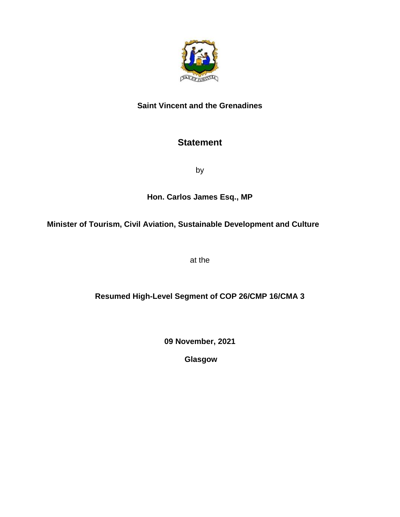

## **Saint Vincent and the Grenadines**

## **Statement**

by

## **Hon. Carlos James Esq., MP**

**Minister of Tourism, Civil Aviation, Sustainable Development and Culture**

at the

## **Resumed High-Level Segment of COP 26/CMP 16/CMA 3**

**09 November, 2021**

**Glasgow**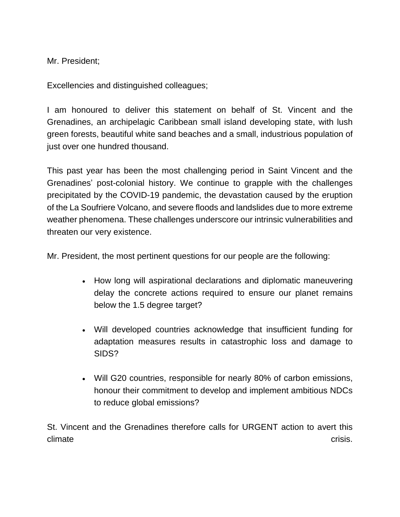Mr. President;

Excellencies and distinguished colleagues;

I am honoured to deliver this statement on behalf of St. Vincent and the Grenadines, an archipelagic Caribbean small island developing state, with lush green forests, beautiful white sand beaches and a small, industrious population of just over one hundred thousand.

This past year has been the most challenging period in Saint Vincent and the Grenadines' post-colonial history. We continue to grapple with the challenges precipitated by the COVID-19 pandemic, the devastation caused by the eruption of the La Soufriere Volcano, and severe floods and landslides due to more extreme weather phenomena. These challenges underscore our intrinsic vulnerabilities and threaten our very existence.

Mr. President, the most pertinent questions for our people are the following:

- How long will aspirational declarations and diplomatic maneuvering delay the concrete actions required to ensure our planet remains below the 1.5 degree target?
- Will developed countries acknowledge that insufficient funding for adaptation measures results in catastrophic loss and damage to SIDS?
- Will G20 countries, responsible for nearly 80% of carbon emissions, honour their commitment to develop and implement ambitious NDCs to reduce global emissions?

St. Vincent and the Grenadines therefore calls for URGENT action to avert this climate crisis.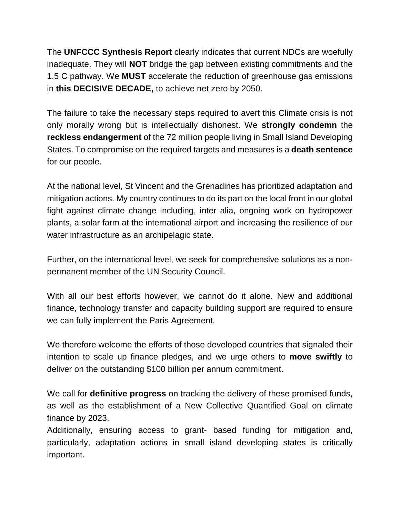The **UNFCCC Synthesis Report** clearly indicates that current NDCs are woefully inadequate. They will **NOT** bridge the gap between existing commitments and the 1.5 C pathway. We **MUST** accelerate the reduction of greenhouse gas emissions in **this DECISIVE DECADE,** to achieve net zero by 2050.

The failure to take the necessary steps required to avert this Climate crisis is not only morally wrong but is intellectually dishonest. We **strongly condemn** the **reckless endangerment** of the 72 million people living in Small Island Developing States. To compromise on the required targets and measures is a **death sentence** for our people.

At the national level, St Vincent and the Grenadines has prioritized adaptation and mitigation actions. My country continues to do its part on the local front in our global fight against climate change including, inter alia, ongoing work on hydropower plants, a solar farm at the international airport and increasing the resilience of our water infrastructure as an archipelagic state.

Further, on the international level, we seek for comprehensive solutions as a nonpermanent member of the UN Security Council.

With all our best efforts however, we cannot do it alone. New and additional finance, technology transfer and capacity building support are required to ensure we can fully implement the Paris Agreement.

We therefore welcome the efforts of those developed countries that signaled their intention to scale up finance pledges, and we urge others to **move swiftly** to deliver on the outstanding \$100 billion per annum commitment.

We call for **definitive progress** on tracking the delivery of these promised funds, as well as the establishment of a New Collective Quantified Goal on climate finance by 2023.

Additionally, ensuring access to grant- based funding for mitigation and, particularly, adaptation actions in small island developing states is critically important.